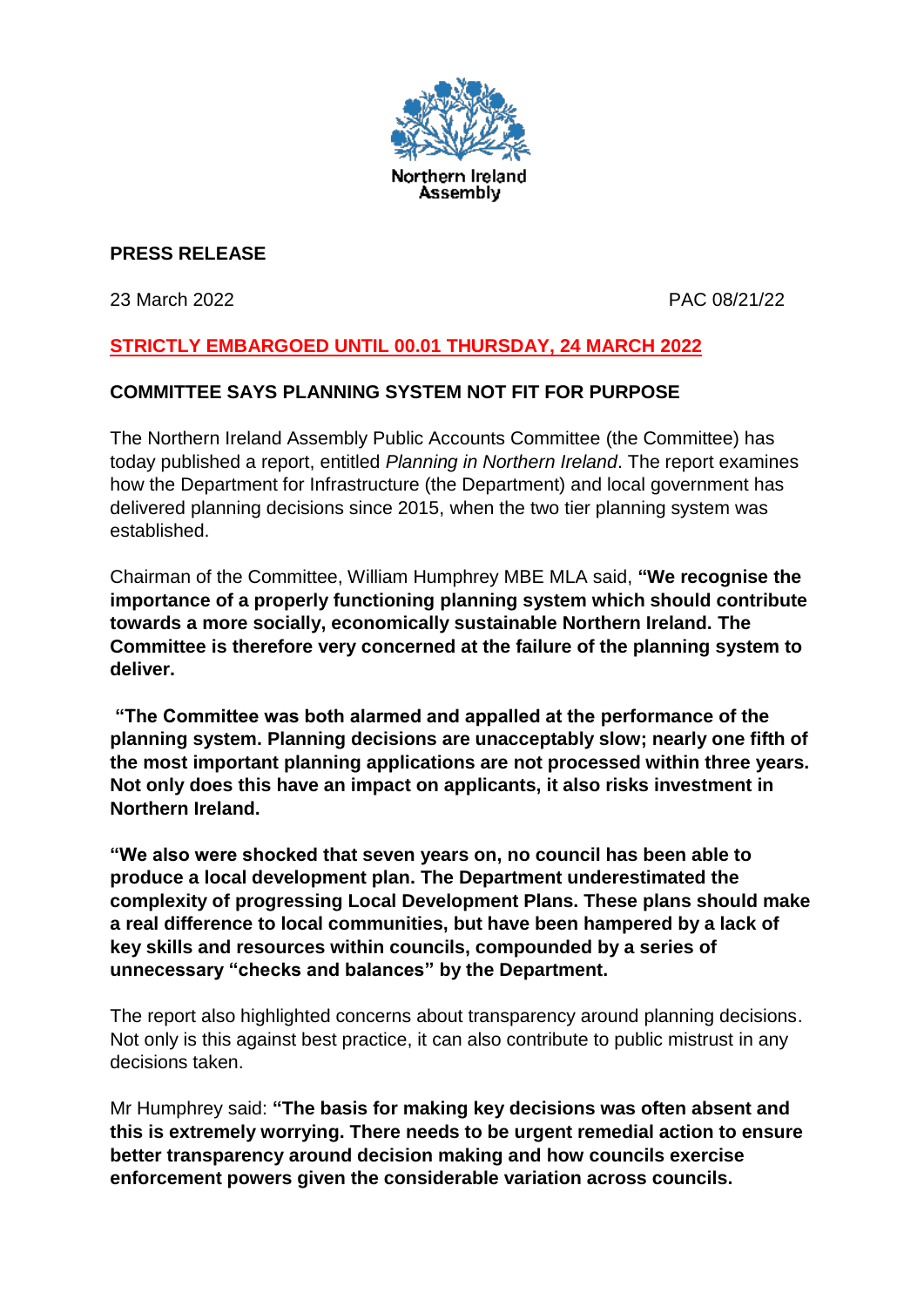

## **PRESS RELEASE**

23 March 2022 PAC 08/21/22

# **STRICTLY EMBARGOED UNTIL 00.01 THURSDAY, 24 MARCH 2022**

### **COMMITTEE SAYS PLANNING SYSTEM NOT FIT FOR PURPOSE**

The Northern Ireland Assembly Public Accounts Committee (the Committee) has today published a report, entitled *Planning in Northern Ireland*. The report examines how the Department for Infrastructure (the Department) and local government has delivered planning decisions since 2015, when the two tier planning system was established.

Chairman of the Committee, William Humphrey MBE MLA said, **"We recognise the importance of a properly functioning planning system which should contribute towards a more socially, economically sustainable Northern Ireland. The Committee is therefore very concerned at the failure of the planning system to deliver.** 

**"The Committee was both alarmed and appalled at the performance of the planning system. Planning decisions are unacceptably slow; nearly one fifth of the most important planning applications are not processed within three years. Not only does this have an impact on applicants, it also risks investment in Northern Ireland.** 

**"We also were shocked that seven years on, no council has been able to produce a local development plan. The Department underestimated the complexity of progressing Local Development Plans. These plans should make a real difference to local communities, but have been hampered by a lack of key skills and resources within councils, compounded by a series of unnecessary "checks and balances" by the Department.**

The report also highlighted concerns about transparency around planning decisions. Not only is this against best practice, it can also contribute to public mistrust in any decisions taken.

Mr Humphrey said: **"The basis for making key decisions was often absent and this is extremely worrying. There needs to be urgent remedial action to ensure better transparency around decision making and how councils exercise enforcement powers given the considerable variation across councils.**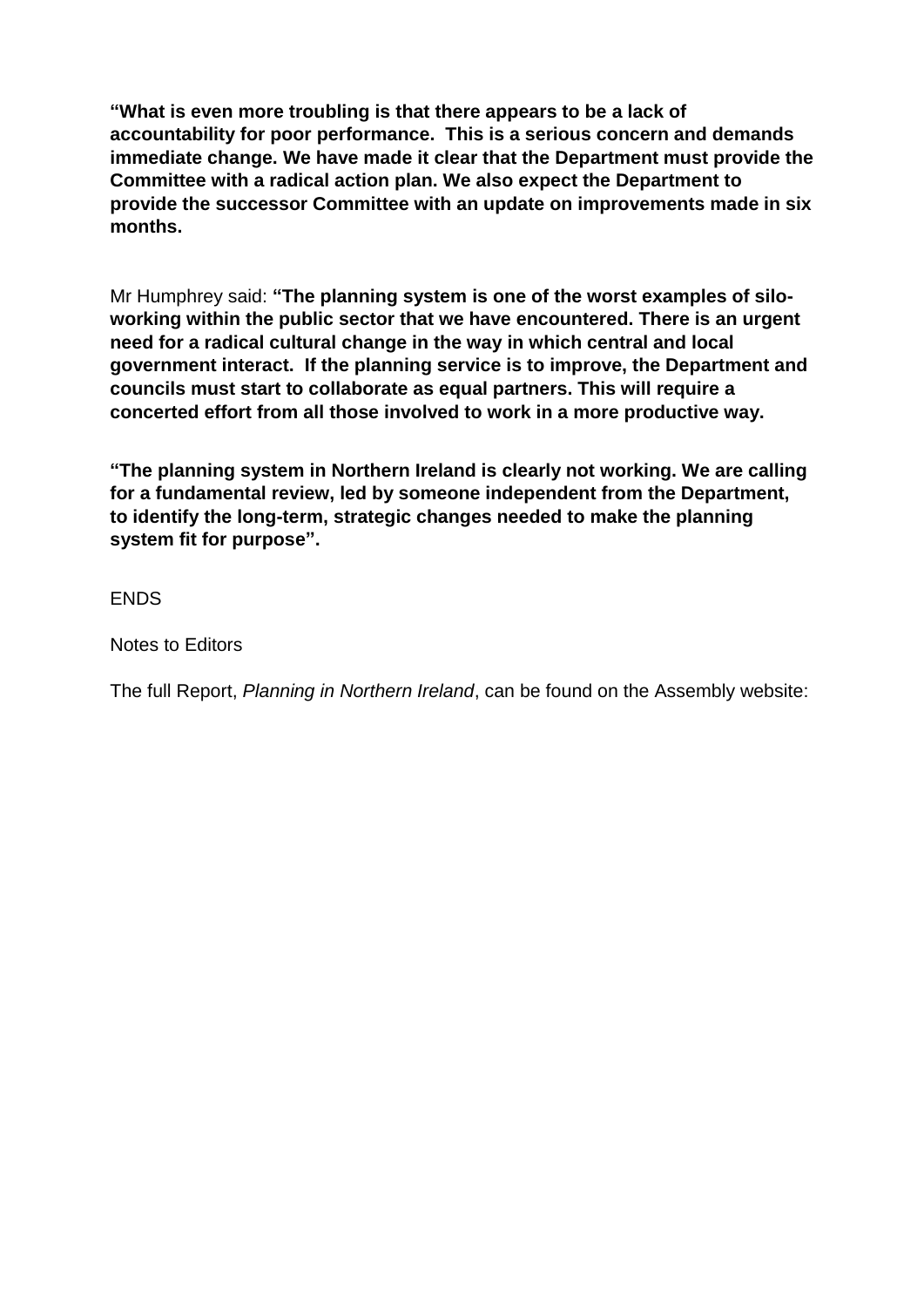**"What is even more troubling is that there appears to be a lack of accountability for poor performance. This is a serious concern and demands immediate change. We have made it clear that the Department must provide the Committee with a radical action plan. We also expect the Department to provide the successor Committee with an update on improvements made in six months.**

Mr Humphrey said: **"The planning system is one of the worst examples of siloworking within the public sector that we have encountered. There is an urgent need for a radical cultural change in the way in which central and local government interact. If the planning service is to improve, the Department and councils must start to collaborate as equal partners. This will require a concerted effort from all those involved to work in a more productive way.**

**"The planning system in Northern Ireland is clearly not working. We are calling for a fundamental review, led by someone independent from the Department, to identify the long-term, strategic changes needed to make the planning system fit for purpose".**

**FNDS** 

Notes to Editors

The full Report, *Planning in Northern Ireland*, can be found on the Assembly website: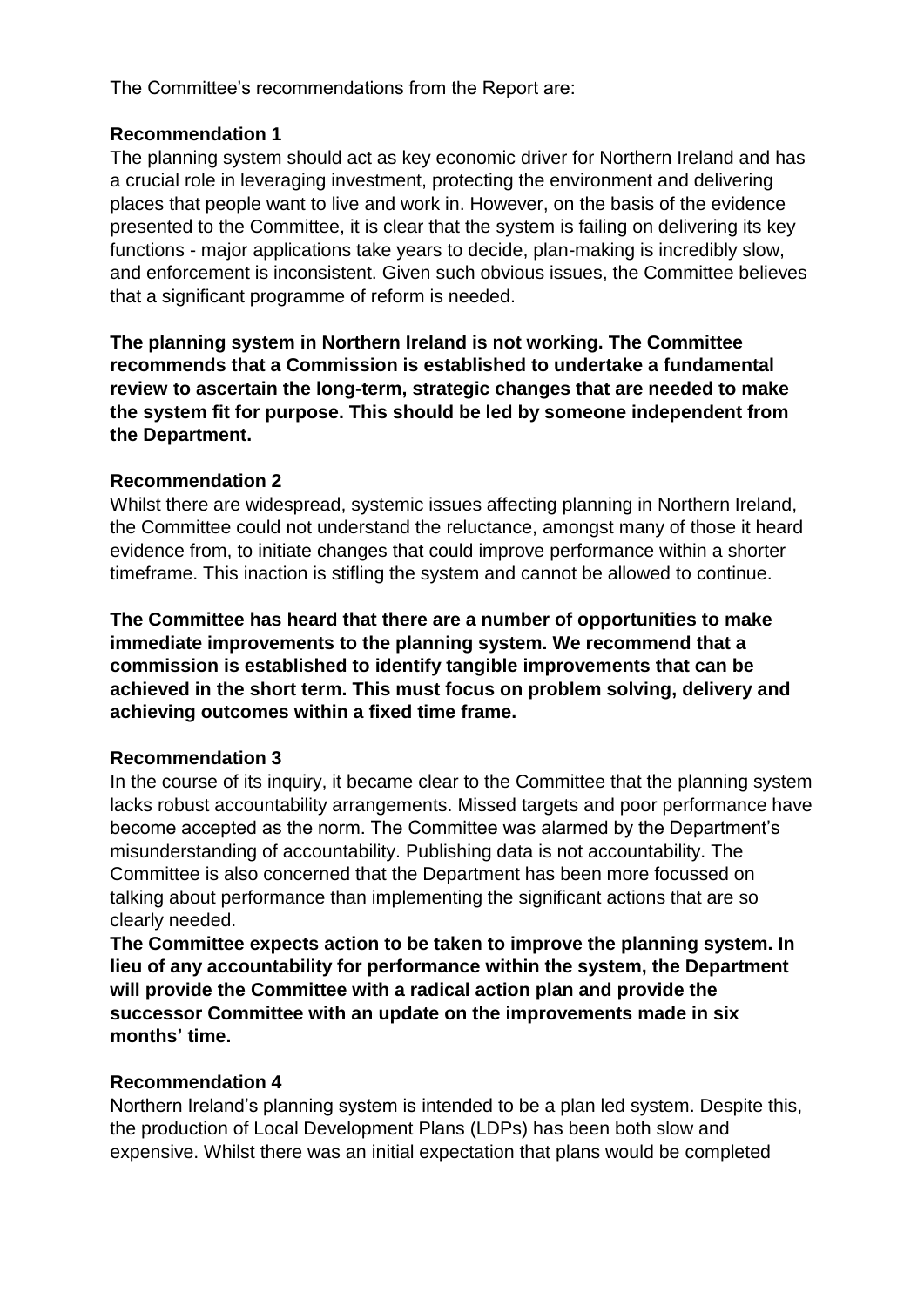The Committee's recommendations from the Report are:

## **Recommendation 1**

The planning system should act as key economic driver for Northern Ireland and has a crucial role in leveraging investment, protecting the environment and delivering places that people want to live and work in. However, on the basis of the evidence presented to the Committee, it is clear that the system is failing on delivering its key functions - major applications take years to decide, plan-making is incredibly slow, and enforcement is inconsistent. Given such obvious issues, the Committee believes that a significant programme of reform is needed.

**The planning system in Northern Ireland is not working. The Committee recommends that a Commission is established to undertake a fundamental review to ascertain the long-term, strategic changes that are needed to make the system fit for purpose. This should be led by someone independent from the Department.**

### **Recommendation 2**

Whilst there are widespread, systemic issues affecting planning in Northern Ireland, the Committee could not understand the reluctance, amongst many of those it heard evidence from, to initiate changes that could improve performance within a shorter timeframe. This inaction is stifling the system and cannot be allowed to continue.

**The Committee has heard that there are a number of opportunities to make immediate improvements to the planning system. We recommend that a commission is established to identify tangible improvements that can be achieved in the short term. This must focus on problem solving, delivery and achieving outcomes within a fixed time frame.**

### **Recommendation 3**

In the course of its inquiry, it became clear to the Committee that the planning system lacks robust accountability arrangements. Missed targets and poor performance have become accepted as the norm. The Committee was alarmed by the Department's misunderstanding of accountability. Publishing data is not accountability. The Committee is also concerned that the Department has been more focussed on talking about performance than implementing the significant actions that are so clearly needed.

**The Committee expects action to be taken to improve the planning system. In lieu of any accountability for performance within the system, the Department will provide the Committee with a radical action plan and provide the successor Committee with an update on the improvements made in six months' time.**

### **Recommendation 4**

Northern Ireland's planning system is intended to be a plan led system. Despite this, the production of Local Development Plans (LDPs) has been both slow and expensive. Whilst there was an initial expectation that plans would be completed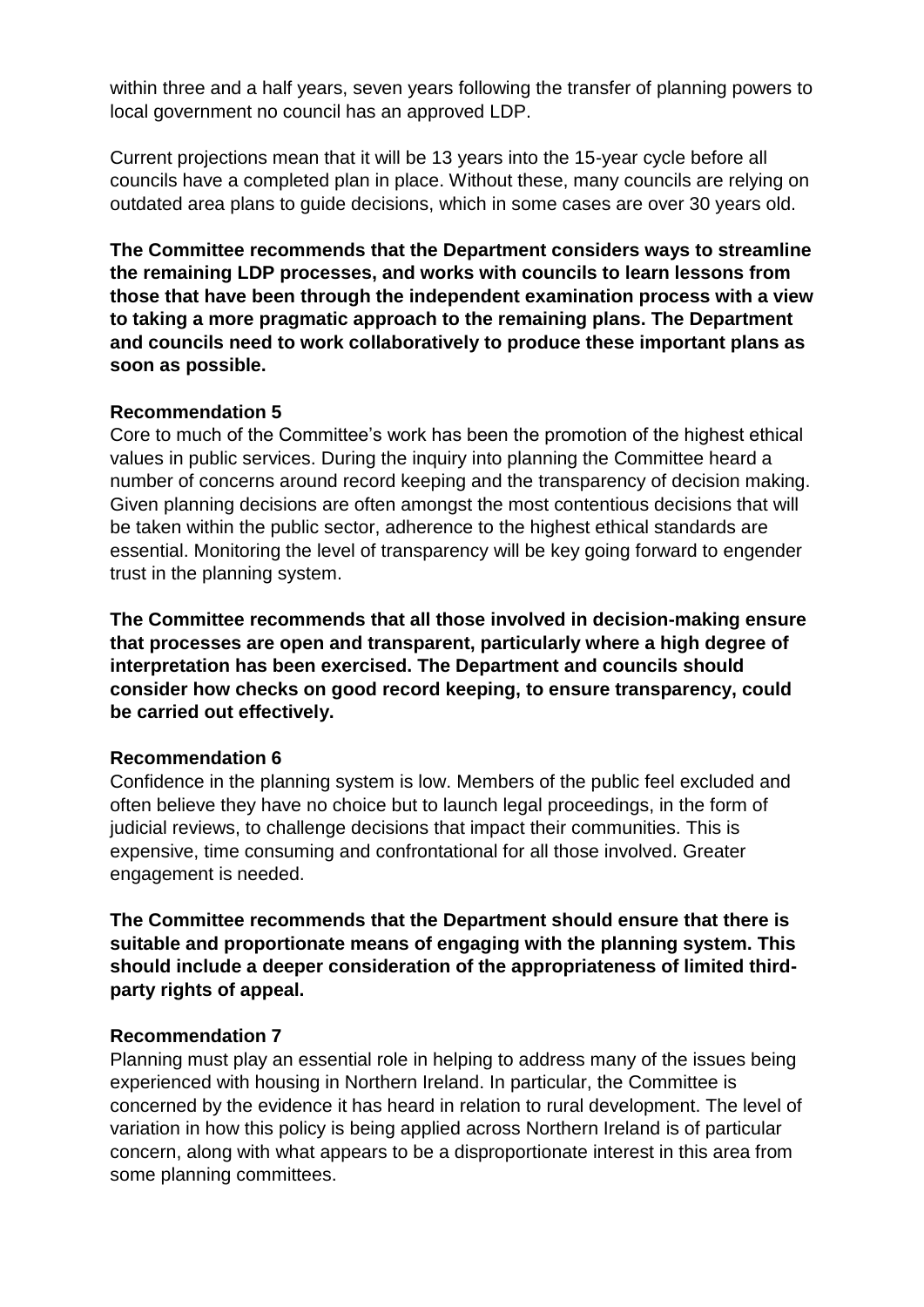within three and a half years, seven years following the transfer of planning powers to local government no council has an approved LDP.

Current projections mean that it will be 13 years into the 15-year cycle before all councils have a completed plan in place. Without these, many councils are relying on outdated area plans to guide decisions, which in some cases are over 30 years old.

**The Committee recommends that the Department considers ways to streamline the remaining LDP processes, and works with councils to learn lessons from those that have been through the independent examination process with a view to taking a more pragmatic approach to the remaining plans. The Department and councils need to work collaboratively to produce these important plans as soon as possible.**

#### **Recommendation 5**

Core to much of the Committee's work has been the promotion of the highest ethical values in public services. During the inquiry into planning the Committee heard a number of concerns around record keeping and the transparency of decision making. Given planning decisions are often amongst the most contentious decisions that will be taken within the public sector, adherence to the highest ethical standards are essential. Monitoring the level of transparency will be key going forward to engender trust in the planning system.

**The Committee recommends that all those involved in decision-making ensure that processes are open and transparent, particularly where a high degree of interpretation has been exercised. The Department and councils should consider how checks on good record keeping, to ensure transparency, could be carried out effectively.**

### **Recommendation 6**

Confidence in the planning system is low. Members of the public feel excluded and often believe they have no choice but to launch legal proceedings, in the form of judicial reviews, to challenge decisions that impact their communities. This is expensive, time consuming and confrontational for all those involved. Greater engagement is needed.

**The Committee recommends that the Department should ensure that there is suitable and proportionate means of engaging with the planning system. This should include a deeper consideration of the appropriateness of limited thirdparty rights of appeal.**

### **Recommendation 7**

Planning must play an essential role in helping to address many of the issues being experienced with housing in Northern Ireland. In particular, the Committee is concerned by the evidence it has heard in relation to rural development. The level of variation in how this policy is being applied across Northern Ireland is of particular concern, along with what appears to be a disproportionate interest in this area from some planning committees.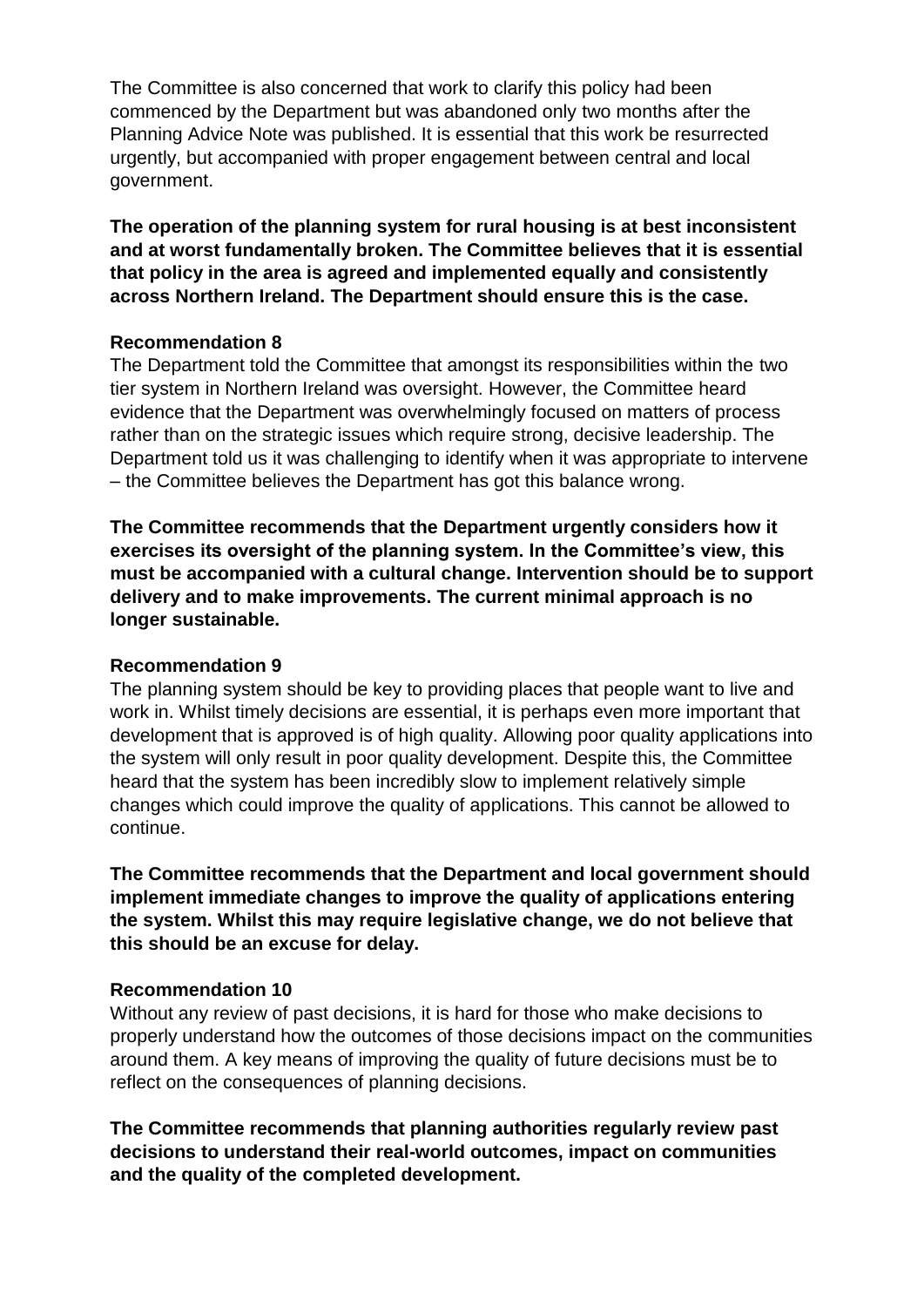The Committee is also concerned that work to clarify this policy had been commenced by the Department but was abandoned only two months after the Planning Advice Note was published. It is essential that this work be resurrected urgently, but accompanied with proper engagement between central and local government.

**The operation of the planning system for rural housing is at best inconsistent and at worst fundamentally broken. The Committee believes that it is essential that policy in the area is agreed and implemented equally and consistently across Northern Ireland. The Department should ensure this is the case.**

#### **Recommendation 8**

The Department told the Committee that amongst its responsibilities within the two tier system in Northern Ireland was oversight. However, the Committee heard evidence that the Department was overwhelmingly focused on matters of process rather than on the strategic issues which require strong, decisive leadership. The Department told us it was challenging to identify when it was appropriate to intervene – the Committee believes the Department has got this balance wrong.

**The Committee recommends that the Department urgently considers how it exercises its oversight of the planning system. In the Committee's view, this must be accompanied with a cultural change. Intervention should be to support delivery and to make improvements. The current minimal approach is no longer sustainable.**

#### **Recommendation 9**

The planning system should be key to providing places that people want to live and work in. Whilst timely decisions are essential, it is perhaps even more important that development that is approved is of high quality. Allowing poor quality applications into the system will only result in poor quality development. Despite this, the Committee heard that the system has been incredibly slow to implement relatively simple changes which could improve the quality of applications. This cannot be allowed to continue.

**The Committee recommends that the Department and local government should implement immediate changes to improve the quality of applications entering the system. Whilst this may require legislative change, we do not believe that this should be an excuse for delay.**

#### **Recommendation 10**

Without any review of past decisions, it is hard for those who make decisions to properly understand how the outcomes of those decisions impact on the communities around them. A key means of improving the quality of future decisions must be to reflect on the consequences of planning decisions.

**The Committee recommends that planning authorities regularly review past decisions to understand their real-world outcomes, impact on communities and the quality of the completed development.**